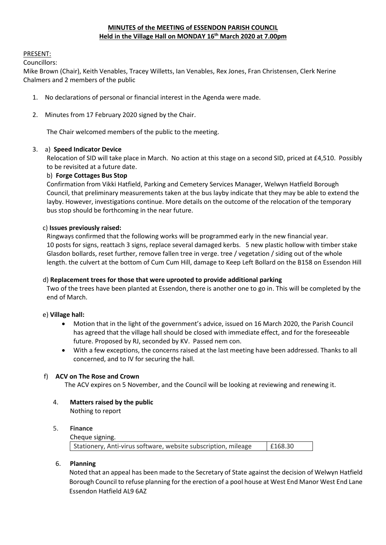# **MINUTES of the MEETING of ESSENDON PARISH COUNCIL Held in the Village Hall on MONDAY 16th March 2020 at 7.00pm**

#### PRESENT:

Councillors:

Mike Brown (Chair), Keith Venables, Tracey Willetts, Ian Venables, Rex Jones, Fran Christensen, Clerk Nerine Chalmers and 2 members of the public

- 1. No declarations of personal or financial interest in the Agenda were made.
- 2. Minutes from 17 February 2020 signed by the Chair.

The Chair welcomed members of the public to the meeting.

### 3.a) **Speed Indicator Device**

Relocation of SID will take place in March. No action at this stage on a second SID, priced at £4,510. Possibly to be revisited at a future date.

### b) **Forge Cottages Bus Stop**

Confirmation from Vikki Hatfield, Parking and Cemetery Services Manager, Welwyn Hatfield Borough Council, that preliminary measurements taken at the bus layby indicate that they may be able to extend the layby. However, investigations continue. More details on the outcome of the relocation of the temporary bus stop should be forthcoming in the near future.

#### c) **Issues previously raised:**

Ringways confirmed that the following works will be programmed early in the new financial year. 10 posts for signs, reattach 3 signs, replace several damaged kerbs. 5 new plastic hollow with timber stake Glasdon bollards, reset further, remove fallen tree in verge. tree / vegetation / siding out of the whole length. the culvert at the bottom of Cum Cum Hill, damage to Keep Left Bollard on the B158 on Essendon Hill

#### d) **Replacement trees for those that were uprooted to provide additional parking**

Two of the trees have been planted at Essendon, there is another one to go in. This will be completed by the end of March.

#### e) **Village hall:**

- Motion that in the light of the government's advice, issued on 16 March 2020, the Parish Council has agreed that the village hall should be closed with immediate effect, and for the foreseeable future. Proposed by RJ, seconded by KV. Passed nem con.
- With a few exceptions, the concerns raised at the last meeting have been addressed. Thanks to all concerned, and to IV for securing the hall.

#### f) **ACV on The Rose and Crown**

The ACV expires on 5 November, and the Council will be looking at reviewing and renewing it.

4. **Matters raised by the public**  Nothing to report

#### 5. **Finance**

Cheque signing.

| Stationery, Anti-virus software, website subscription, mileage | E168.30 |
|----------------------------------------------------------------|---------|
|----------------------------------------------------------------|---------|

#### 6. **Planning**

Noted that an appeal has been made to the Secretary of State against the decision of Welwyn Hatfield Borough Council to refuse planning for the erection of a pool house at West End Manor West End Lane Essendon Hatfield AL9 6AZ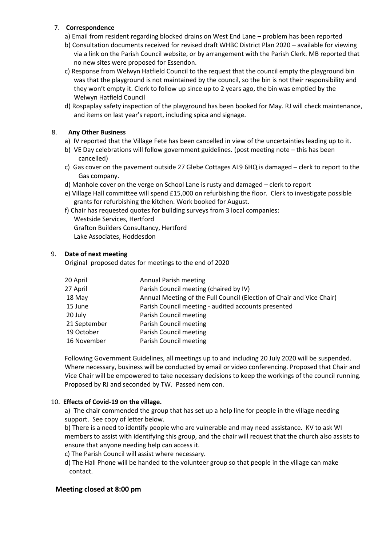### 7. **Correspondence**

- a) Email from resident regarding blocked drains on West End Lane problem has been reported
- b) Consultation documents received for revised draft WHBC District Plan 2020 available for viewing via a link on the Parish Council website, or by arrangement with the Parish Clerk. MB reported that no new sites were proposed for Essendon.
- c) Response from Welwyn Hatfield Council to the request that the council empty the playground bin was that the playground is not maintained by the council, so the bin is not their responsibility and they won't empty it. Clerk to follow up since up to 2 years ago, the bin was emptied by the Welwyn Hatfield Council
- d) Rospaplay safety inspection of the playground has been booked for May. RJ will check maintenance, and items on last year's report, including spica and signage.

### 8. **Any Other Business**

- a) IV reported that the Village Fete has been cancelled in view of the uncertainties leading up to it.
- b) VE Day celebrations will follow government guidelines. (post meeting note this has been cancelled)
- c) Gas cover on the pavement outside 27 Glebe Cottages AL9 6HQ is damaged clerk to report to the Gas company.
- d) Manhole cover on the verge on School Lane is rusty and damaged clerk to report
- e) Village Hall committee will spend £15,000 on refurbishing the floor. Clerk to investigate possible grants for refurbishing the kitchen. Work booked for August.
- f) Chair has requested quotes for building surveys from 3 local companies:

Westside Services, Hertford Grafton Builders Consultancy, Hertford Lake Associates, Hoddesdon

# 9. **Date of next meeting**

Original proposed dates for meetings to the end of 2020

| 20 April     | <b>Annual Parish meeting</b>                                          |
|--------------|-----------------------------------------------------------------------|
| 27 April     | Parish Council meeting (chaired by IV)                                |
| 18 May       | Annual Meeting of the Full Council (Election of Chair and Vice Chair) |
| 15 June      | Parish Council meeting - audited accounts presented                   |
| 20 July      | Parish Council meeting                                                |
| 21 September | Parish Council meeting                                                |
| 19 October   | Parish Council meeting                                                |
| 16 November  | Parish Council meeting                                                |

Following Government Guidelines, all meetings up to and including 20 July 2020 will be suspended. Where necessary, business will be conducted by email or video conferencing. Proposed that Chair and Vice Chair will be empowered to take necessary decisions to keep the workings of the council running. Proposed by RJ and seconded by TW. Passed nem con.

# 10. **Effects of Covid-19 on the village.**

a) The chair commended the group that has set up a help line for people in the village needing support. See copy of letter below.

b) There is a need to identify people who are vulnerable and may need assistance. KV to ask WI members to assist with identifying this group, and the chair will request that the church also assists to ensure that anyone needing help can access it.

- c) The Parish Council will assist where necessary.
- d) The Hall Phone will be handed to the volunteer group so that people in the village can make contact.

#### **Meeting closed at 8:00 pm**